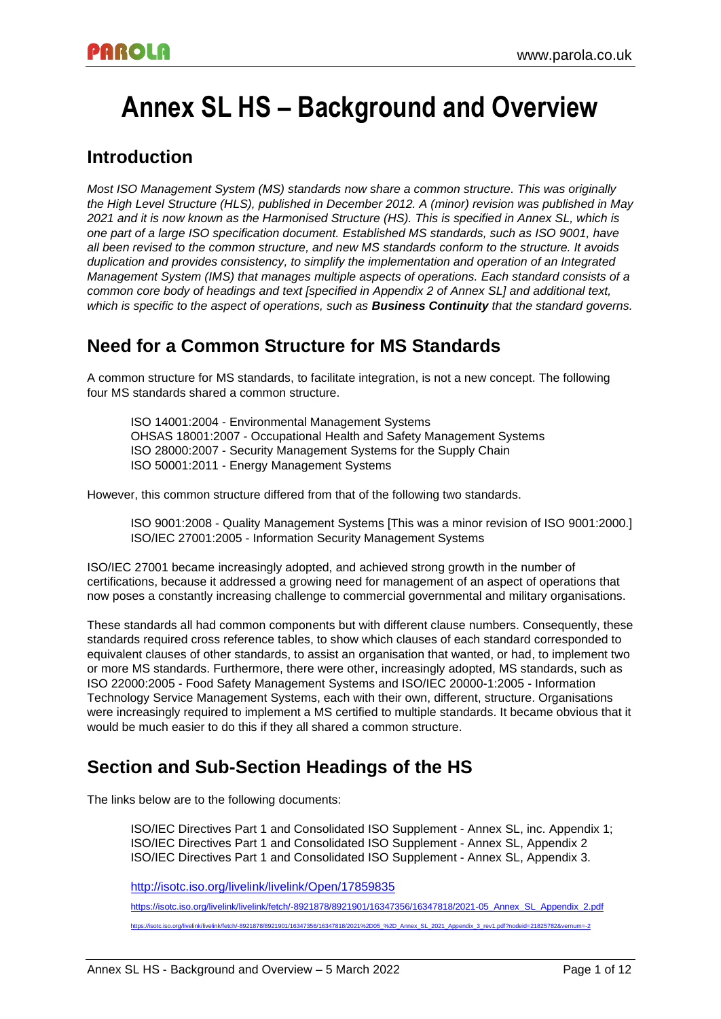# **Annex SL HS – Background and Overview**

### **Introduction**

*Most ISO Management System (MS) standards now share a common structure. This was originally the High Level Structure (HLS), published in December 2012. A (minor) revision was published in May 2021 and it is now known as the Harmonised Structure (HS). This is specified in Annex SL, which is one part of a large ISO specification document. Established MS standards, such as ISO 9001, have all been revised to the common structure, and new MS standards conform to the structure. It avoids duplication and provides consistency, to simplify the implementation and operation of an Integrated Management System (IMS) that manages multiple aspects of operations. Each standard consists of a common core body of headings and text [specified in Appendix 2 of Annex SL] and additional text, which is specific to the aspect of operations, such as Business Continuity that the standard governs.*

## **Need for a Common Structure for MS Standards**

A common structure for MS standards, to facilitate integration, is not a new concept. The following four MS standards shared a common structure.

ISO 14001:2004 - Environmental Management Systems OHSAS 18001:2007 - Occupational Health and Safety Management Systems ISO 28000:2007 - Security Management Systems for the Supply Chain ISO 50001:2011 - Energy Management Systems

However, this common structure differed from that of the following two standards.

ISO 9001:2008 - Quality Management Systems [This was a minor revision of ISO 9001:2000.] ISO/IEC 27001:2005 - Information Security Management Systems

ISO/IEC 27001 became increasingly adopted, and achieved strong growth in the number of certifications, because it addressed a growing need for management of an aspect of operations that now poses a constantly increasing challenge to commercial governmental and military organisations.

These standards all had common components but with different clause numbers. Consequently, these standards required cross reference tables, to show which clauses of each standard corresponded to equivalent clauses of other standards, to assist an organisation that wanted, or had, to implement two or more MS standards. Furthermore, there were other, increasingly adopted, MS standards, such as ISO 22000:2005 - Food Safety Management Systems and ISO/IEC 20000-1:2005 - Information Technology Service Management Systems, each with their own, different, structure. Organisations were increasingly required to implement a MS certified to multiple standards. It became obvious that it would be much easier to do this if they all shared a common structure.

### **Section and Sub-Section Headings of the HS**

The links below are to the following documents:

ISO/IEC Directives Part 1 and Consolidated ISO Supplement - Annex SL, inc. Appendix 1; ISO/IEC Directives Part 1 and Consolidated ISO Supplement - Annex SL, Appendix 2 ISO/IEC Directives Part 1 and Consolidated ISO Supplement - Annex SL, Appendix 3.

<http://isotc.iso.org/livelink/livelink/Open/17859835>

[https://isotc.iso.org/livelink/livelink/fetch/-8921878/8921901/16347356/16347818/2021-05\\_Annex\\_SL\\_Appendix\\_2.pdf](https://isotc.iso.org/livelink/livelink/fetch/-8921878/8921901/16347356/16347818/2021-05_Annex_SL_Appendix_2.pdf) [https://isotc.iso.org/livelink/livelink/fetch/-8921878/8921901/16347356/16347818/2021%2D05\\_%2D\\_Annex\\_SL\\_2021\\_Appendix\\_3\\_rev1.pdf?nodeid=21825782&vernum=-2](https://isotc.iso.org/livelink/livelink/fetch/-8921878/8921901/16347356/16347818/2021-05_-_Annex_SL_2021_Appendix_3_rev1.pdf?nodeid=21825782&vernum=-2)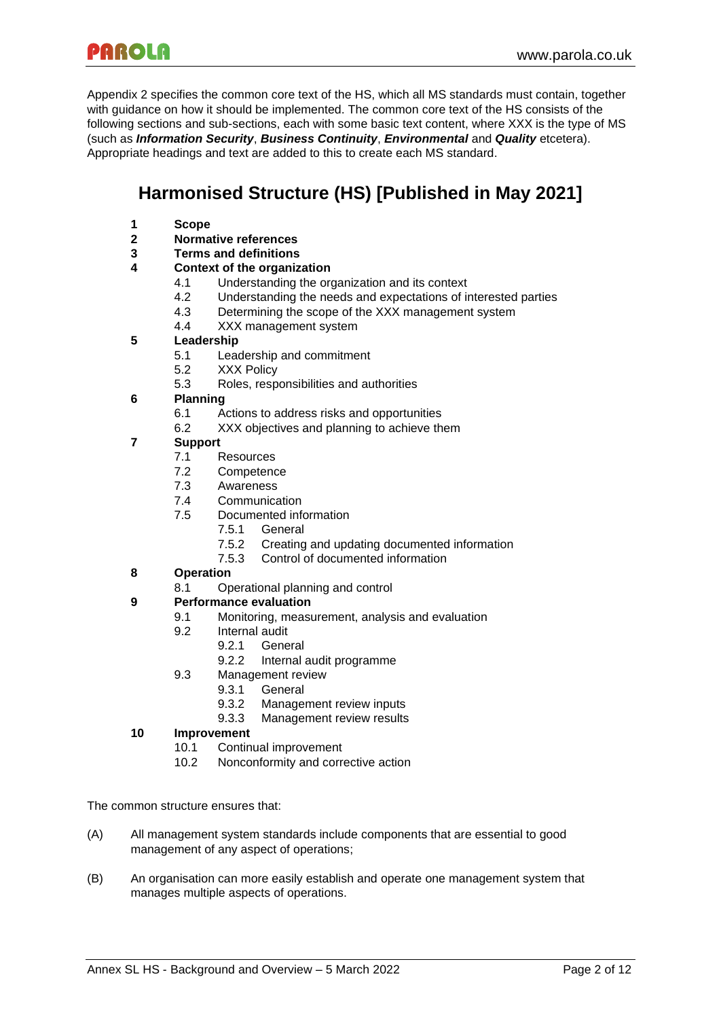Appendix 2 specifies the common core text of the HS, which all MS standards must contain, together with guidance on how it should be implemented. The common core text of the HS consists of the following sections and sub-sections, each with some basic text content, where XXX is the type of MS (such as *Information Security*, *Business Continuity*, *Environmental* and *Quality* etcetera). Appropriate headings and text are added to this to create each MS standard.

# **Harmonised Structure (HS) [Published in May 2021]**

- **1 Scope**
- **2 Normative references**
- **3 Terms and definitions**

#### **4 Context of the organization**

- 4.1 Understanding the organization and its context
- 4.2 Understanding the needs and expectations of interested parties
- 4.3 Determining the scope of the XXX management system
- 4.4 XXX management system

#### **5 Leadership**

- 5.1 Leadership and commitment
- 5.2 XXX Policy
- 5.3 Roles, responsibilities and authorities

#### **6 Planning**

- 6.1 Actions to address risks and opportunities
- 6.2 XXX objectives and planning to achieve them

#### **7 Support**

- 7.1 Resources
- 7.2 Competence
- 7.3 Awareness
- 7.4 Communication
- 7.5 Documented information
	- 7.5.1 General
	- 7.5.2 Creating and updating documented information
	- 7.5.3 Control of documented information

#### **8 Operation**

8.1 Operational planning and control

#### **9 Performance evaluation**

- 9.1 Monitoring, measurement, analysis and evaluation
- 9.2 Internal audit
	- 9.2.1 General
	- 9.2.2 Internal audit programme
- 9.3 Management review
	- 9.3.1 General
	- 9.3.2 Management review inputs
	- 9.3.3 Management review results

#### **10 Improvement**

- 10.1 Continual improvement
- 10.2 Nonconformity and corrective action

The common structure ensures that:

- (A) All management system standards include components that are essential to good management of any aspect of operations;
- (B) An organisation can more easily establish and operate one management system that manages multiple aspects of operations.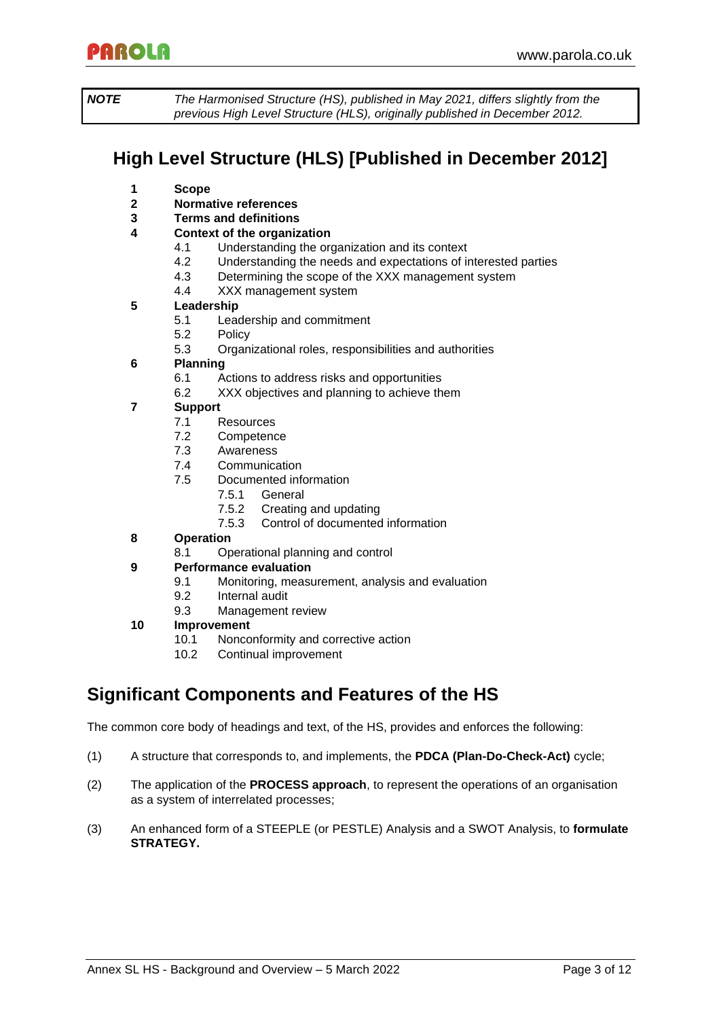*NOTE The Harmonised Structure (HS), published in May 2021, differs slightly from the previous High Level Structure (HLS), originally published in December 2012.*

# **High Level Structure (HLS) [Published in December 2012]**

- **1 Scope**
- **2 Normative references**
- **3 Terms and definitions**
- **4 Context of the organization**
	- 4.1 Understanding the organization and its context
		- 4.2 Understanding the needs and expectations of interested parties
		- 4.3 Determining the scope of the XXX management system
		- 4.4 XXX management system

#### **5 Leadership**

- 5.1 Leadership and commitment
- 5.2 Policy
- 5.3 Organizational roles, responsibilities and authorities
- **6 Planning**
	- 6.1 Actions to address risks and opportunities
	- 6.2 XXX objectives and planning to achieve them

### **7 Support**

- 7.1 Resources
- 7.2 Competence
- 7.3 Awareness
- 7.4 Communication
- 7.5 Documented information
	- 7.5.1 General
	- 7.5.2 Creating and updating
	- 7.5.3 Control of documented information
- **8 Operation**
	- 8.1 Operational planning and control

#### **9 Performance evaluation**

- 9.1 Monitoring, measurement, analysis and evaluation
- 9.2 Internal audit
- 9.3 Management review

#### **10 Improvement**

- 10.1 Nonconformity and corrective action
- 10.2 Continual improvement

### **Significant Components and Features of the HS**

The common core body of headings and text, of the HS, provides and enforces the following:

- (1) A structure that corresponds to, and implements, the **PDCA (Plan-Do-Check-Act)** cycle;
- (2) The application of the **PROCESS approach**, to represent the operations of an organisation as a system of interrelated processes;
- (3) An enhanced form of a STEEPLE (or PESTLE) Analysis and a SWOT Analysis, to **formulate STRATEGY.**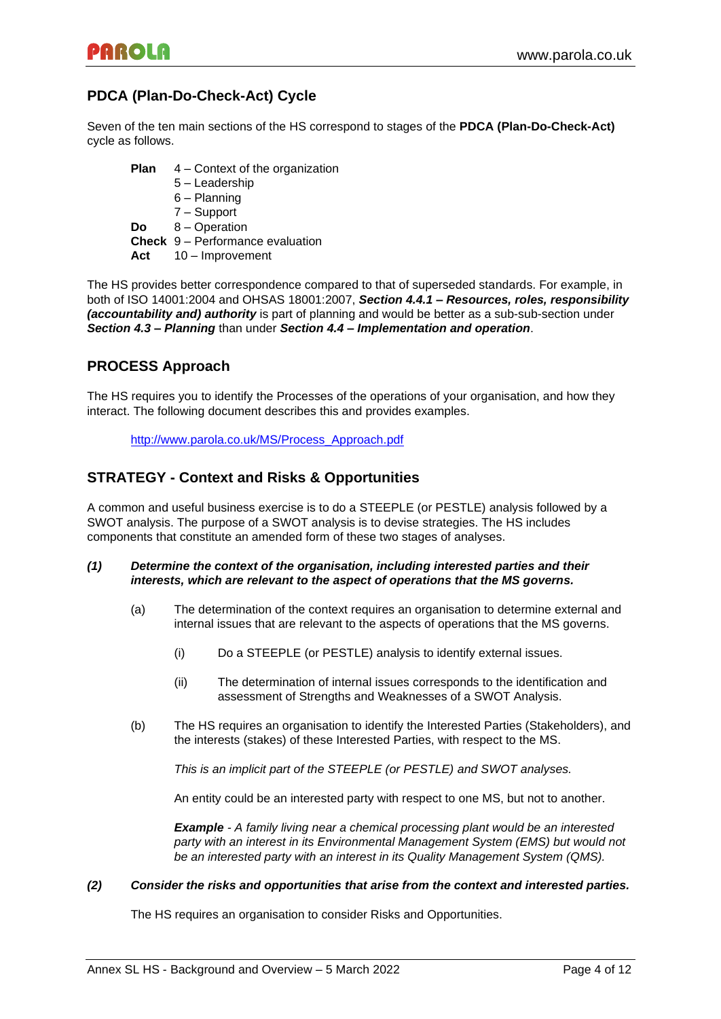### **PDCA (Plan-Do-Check-Act) Cycle**

Seven of the ten main sections of the HS correspond to stages of the **PDCA (Plan-Do-Check-Act)** cycle as follows.

**Plan** 4 – Context of the organization 5 – Leadership 6 – Planning 7 – Support **Do** 8 – Operation **Check** 9 – Performance evaluation **Act** 10 – Improvement

The HS provides better correspondence compared to that of superseded standards. For example, in both of ISO 14001:2004 and OHSAS 18001:2007, *Section 4.4.1 – Resources, roles, responsibility (accountability and) authority* is part of planning and would be better as a sub-sub-section under *Section 4.3 – Planning* than under *Section 4.4 – Implementation and operation*.

### **PROCESS Approach**

The HS requires you to identify the Processes of the operations of your organisation, and how they interact. The following document describes this and provides examples.

[http://www.parola.co.uk/MS/Process\\_Approach.pdf](http://www.parola.co.uk/MS/Process_Approach.pdf)

### **STRATEGY - Context and Risks & Opportunities**

A common and useful business exercise is to do a STEEPLE (or PESTLE) analysis followed by a SWOT analysis. The purpose of a SWOT analysis is to devise strategies. The HS includes components that constitute an amended form of these two stages of analyses.

#### *(1) Determine the context of the organisation, including interested parties and their interests, which are relevant to the aspect of operations that the MS governs.*

- (a) The determination of the context requires an organisation to determine external and internal issues that are relevant to the aspects of operations that the MS governs.
	- (i) Do a STEEPLE (or PESTLE) analysis to identify external issues.
	- (ii) The determination of internal issues corresponds to the identification and assessment of Strengths and Weaknesses of a SWOT Analysis.
- (b) The HS requires an organisation to identify the Interested Parties (Stakeholders), and the interests (stakes) of these Interested Parties, with respect to the MS.

*This is an implicit part of the STEEPLE (or PESTLE) and SWOT analyses.*

An entity could be an interested party with respect to one MS, but not to another.

*Example - A family living near a chemical processing plant would be an interested party with an interest in its Environmental Management System (EMS) but would not be an interested party with an interest in its Quality Management System (QMS).*

#### *(2) Consider the risks and opportunities that arise from the context and interested parties.*

The HS requires an organisation to consider Risks and Opportunities.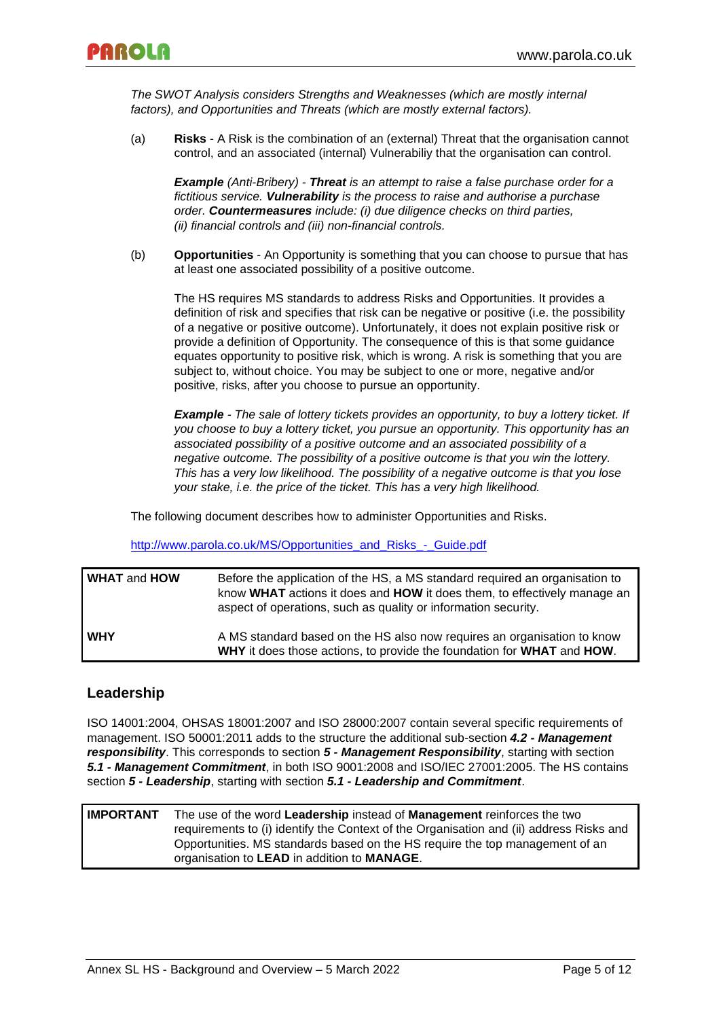*The SWOT Analysis considers Strengths and Weaknesses (which are mostly internal factors), and Opportunities and Threats (which are mostly external factors).*

(a) **Risks** - A Risk is the combination of an (external) Threat that the organisation cannot control, and an associated (internal) Vulnerabiliy that the organisation can control.

*Example (Anti-Bribery) - Threat is an attempt to raise a false purchase order for a fictitious service. Vulnerability is the process to raise and authorise a purchase order. Countermeasures include: (i) due diligence checks on third parties, (ii) financial controls and (iii) non-financial controls.*

(b) **Opportunities** - An Opportunity is something that you can choose to pursue that has at least one associated possibility of a positive outcome.

The HS requires MS standards to address Risks and Opportunities. It provides a definition of risk and specifies that risk can be negative or positive (i.e. the possibility of a negative or positive outcome). Unfortunately, it does not explain positive risk or provide a definition of Opportunity. The consequence of this is that some guidance equates opportunity to positive risk, which is wrong. A risk is something that you are subject to, without choice. You may be subject to one or more, negative and/or positive, risks, after you choose to pursue an opportunity.

*Example - The sale of lottery tickets provides an opportunity, to buy a lottery ticket. If you choose to buy a lottery ticket, you pursue an opportunity. This opportunity has an associated possibility of a positive outcome and an associated possibility of a negative outcome. The possibility of a positive outcome is that you win the lottery. This has a very low likelihood. The possibility of a negative outcome is that you lose your stake, i.e. the price of the ticket. This has a very high likelihood.*

The following document describes how to administer Opportunities and Risks.

[http://www.parola.co.uk/MS/Opportunities\\_and\\_Risks\\_-\\_Guide.pdf](http://www.parola.co.uk/MS/Opportunities_and_Risks_-_Guide.pdf)

| <b>WHAT and HOW</b> | Before the application of the HS, a MS standard required an organisation to<br>know WHAT actions it does and HOW it does them, to effectively manage an<br>aspect of operations, such as quality or information security. |
|---------------------|---------------------------------------------------------------------------------------------------------------------------------------------------------------------------------------------------------------------------|
| <b>WHY</b>          | A MS standard based on the HS also now requires an organisation to know<br>WHY it does those actions, to provide the foundation for WHAT and HOW.                                                                         |

### **Leadership**

ISO 14001:2004, OHSAS 18001:2007 and ISO 28000:2007 contain several specific requirements of management. ISO 50001:2011 adds to the structure the additional sub-section *4.2 - Management responsibility*. This corresponds to section *5 - Management Responsibility*, starting with section *5.1 - Management Commitment*, in both ISO 9001:2008 and ISO/IEC 27001:2005. The HS contains section *5 - Leadership*, starting with section *5.1 - Leadership and Commitment*.

**IMPORTANT** The use of the word **Leadership** instead of **Management** reinforces the two requirements to (i) identify the Context of the Organisation and (ii) address Risks and Opportunities. MS standards based on the HS require the top management of an organisation to **LEAD** in addition to **MANAGE**.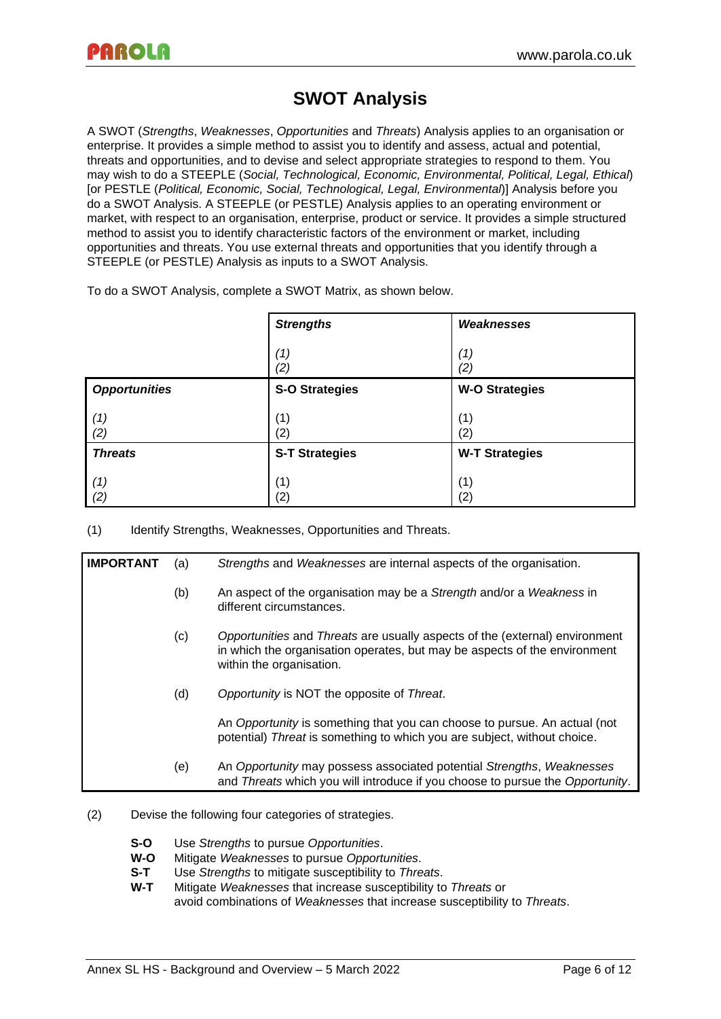# **SWOT Analysis**

A SWOT (*Strengths*, *Weaknesses*, *Opportunities* and *Threats*) Analysis applies to an organisation or enterprise. It provides a simple method to assist you to identify and assess, actual and potential, threats and opportunities, and to devise and select appropriate strategies to respond to them. You may wish to do a STEEPLE (*Social, Technological, Economic, Environmental, Political, Legal, Ethical*) [or PESTLE (*Political, Economic, Social, Technological, Legal, Environmental*)] Analysis before you do a SWOT Analysis. A STEEPLE (or PESTLE) Analysis applies to an operating environment or market, with respect to an organisation, enterprise, product or service. It provides a simple structured method to assist you to identify characteristic factors of the environment or market, including opportunities and threats. You use external threats and opportunities that you identify through a STEEPLE (or PESTLE) Analysis as inputs to a SWOT Analysis.

To do a SWOT Analysis, complete a SWOT Matrix, as shown below.

|                      | <b>Strengths</b>      | Weaknesses            |
|----------------------|-----------------------|-----------------------|
|                      | (1)<br>(2)            | (1)<br>(2)            |
| <b>Opportunities</b> | <b>S-O Strategies</b> | <b>W-O Strategies</b> |
| (1)<br>(2)           | (1)<br>(2)            | (1)<br>(2)            |
| <b>Threats</b>       | <b>S-T Strategies</b> | <b>W-T Strategies</b> |
| (1)<br>(2)           | (1)<br>(2)            | (1)<br>(2)            |

(1) Identify Strengths, Weaknesses, Opportunities and Threats.

| <b>IMPORTANT</b> | (a) | Strengths and Weaknesses are internal aspects of the organisation.                                                                                                                   |
|------------------|-----|--------------------------------------------------------------------------------------------------------------------------------------------------------------------------------------|
|                  | (b) | An aspect of the organisation may be a Strength and/or a Weakness in<br>different circumstances.                                                                                     |
|                  | (c) | Opportunities and Threats are usually aspects of the (external) environment<br>in which the organisation operates, but may be aspects of the environment<br>within the organisation. |
|                  | (d) | Opportunity is NOT the opposite of Threat.                                                                                                                                           |
|                  |     | An Opportunity is something that you can choose to pursue. An actual (not<br>potential) Threat is something to which you are subject, without choice.                                |
|                  | (e) | An Opportunity may possess associated potential Strengths, Weaknesses<br>and Threats which you will introduce if you choose to pursue the Opportunity.                               |

- (2) Devise the following four categories of strategies.
	- **S-O** Use *Strengths* to pursue *Opportunities*.
	- **W-O** Mitigate *Weaknesses* to pursue *Opportunities*.
	- **S-T** Use *Strengths* to mitigate susceptibility to *Threats*.
	- **W-T** Mitigate *Weaknesses* that increase susceptibility to *Threats* or avoid combinations of *Weaknesses* that increase susceptibility to *Threats*.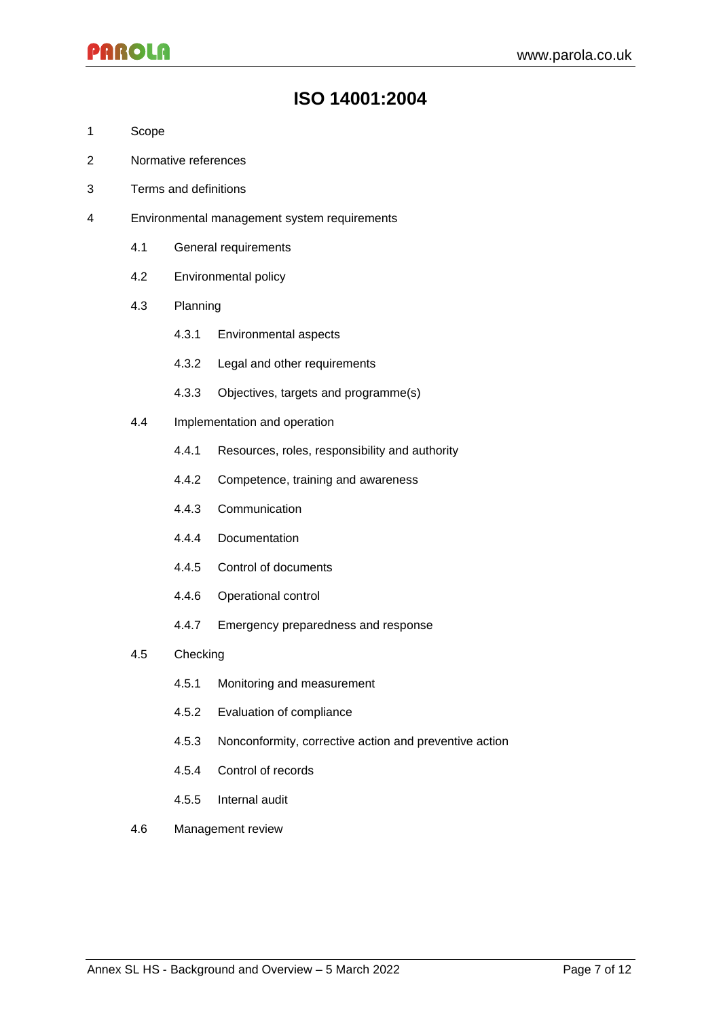### **ISO 14001:2004**

- 1 Scope
- 2 Normative references
- 3 Terms and definitions
- 4 Environmental management system requirements
	- 4.1 General requirements
	- 4.2 Environmental policy
	- 4.3 Planning
		- 4.3.1 Environmental aspects
		- 4.3.2 Legal and other requirements
		- 4.3.3 Objectives, targets and programme(s)
	- 4.4 Implementation and operation
		- 4.4.1 Resources, roles, responsibility and authority
		- 4.4.2 Competence, training and awareness
		- 4.4.3 Communication
		- 4.4.4 Documentation
		- 4.4.5 Control of documents
		- 4.4.6 Operational control
		- 4.4.7 Emergency preparedness and response
	- 4.5 Checking
		- 4.5.1 Monitoring and measurement
		- 4.5.2 Evaluation of compliance
		- 4.5.3 Nonconformity, corrective action and preventive action
		- 4.5.4 Control of records
		- 4.5.5 Internal audit
	- 4.6 Management review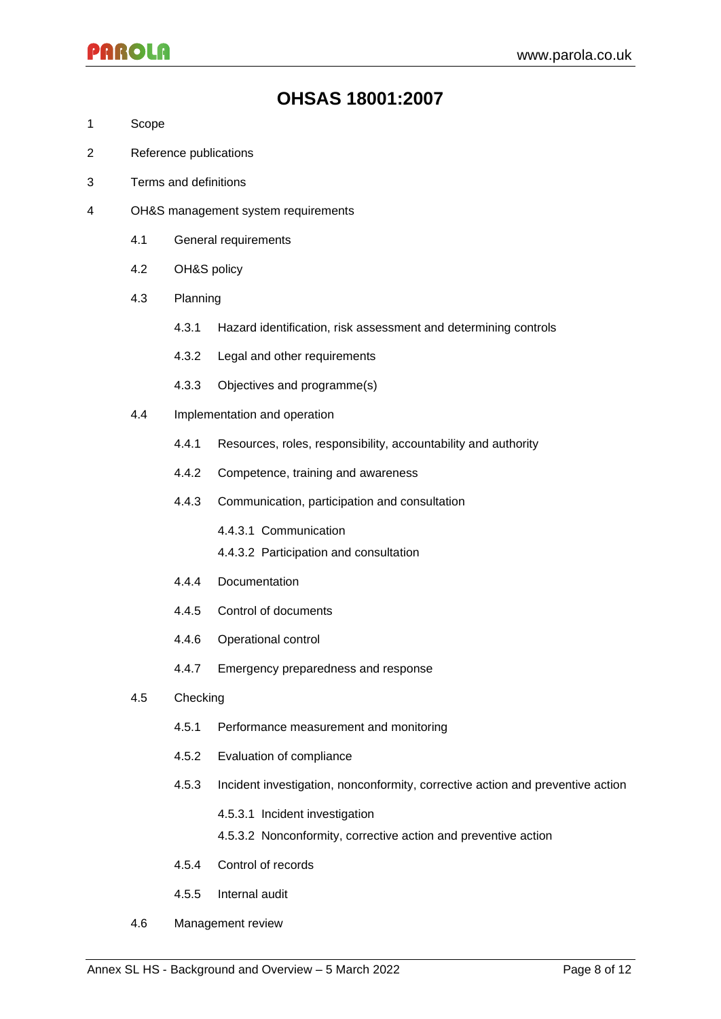### **OHSAS 18001:2007**

- 1 Scope
- 2 Reference publications
- 3 Terms and definitions
- 4 OH&S management system requirements
	- 4.1 General requirements
	- 4.2 OH&S policy
	- 4.3 Planning
		- 4.3.1 Hazard identification, risk assessment and determining controls
		- 4.3.2 Legal and other requirements
		- 4.3.3 Objectives and programme(s)
	- 4.4 Implementation and operation
		- 4.4.1 Resources, roles, responsibility, accountability and authority
		- 4.4.2 Competence, training and awareness
		- 4.4.3 Communication, participation and consultation
			- 4.4.3.1 Communication
			- 4.4.3.2 Participation and consultation
		- 4.4.4 Documentation
		- 4.4.5 Control of documents
		- 4.4.6 Operational control
		- 4.4.7 Emergency preparedness and response
	- 4.5 Checking
		- 4.5.1 Performance measurement and monitoring
		- 4.5.2 Evaluation of compliance
		- 4.5.3 Incident investigation, nonconformity, corrective action and preventive action
			- 4.5.3.1 Incident investigation
			- 4.5.3.2 Nonconformity, corrective action and preventive action
		- 4.5.4 Control of records
		- 4.5.5 Internal audit
	- 4.6 Management review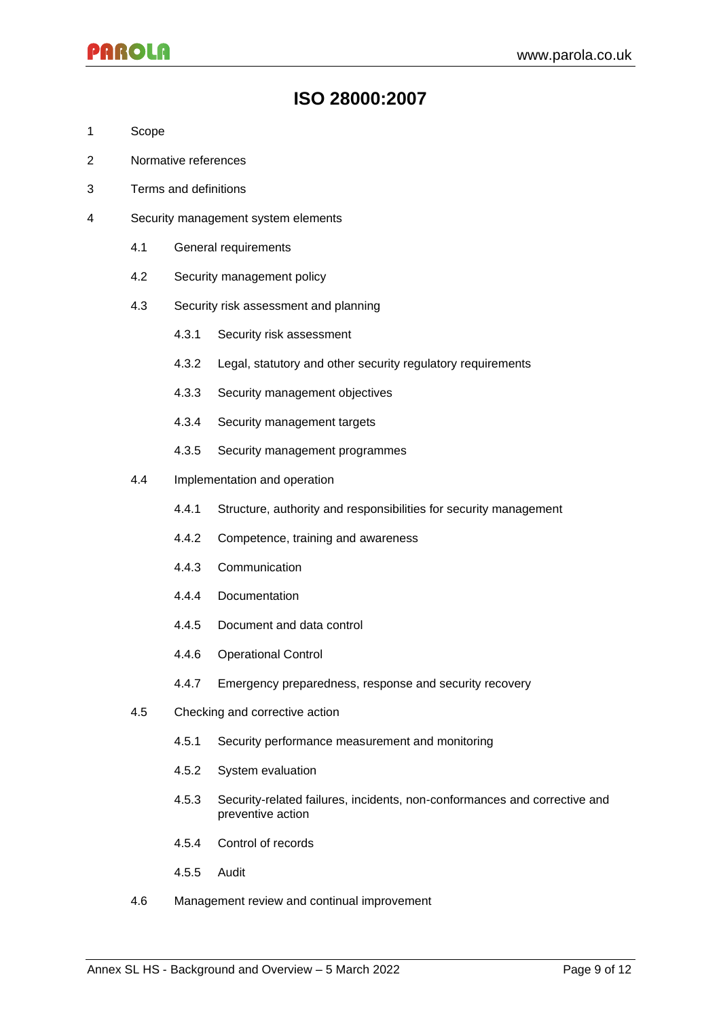### **ISO 28000:2007**

- 1 Scope
- 2 Normative references
- 3 Terms and definitions
- 4 Security management system elements
	- 4.1 General requirements
	- 4.2 Security management policy
	- 4.3 Security risk assessment and planning
		- 4.3.1 Security risk assessment
		- 4.3.2 Legal, statutory and other security regulatory requirements
		- 4.3.3 Security management objectives
		- 4.3.4 Security management targets
		- 4.3.5 Security management programmes
	- 4.4 Implementation and operation
		- 4.4.1 Structure, authority and responsibilities for security management
		- 4.4.2 Competence, training and awareness
		- 4.4.3 Communication
		- 4.4.4 Documentation
		- 4.4.5 Document and data control
		- 4.4.6 Operational Control
		- 4.4.7 Emergency preparedness, response and security recovery
	- 4.5 Checking and corrective action
		- 4.5.1 Security performance measurement and monitoring
		- 4.5.2 System evaluation
		- 4.5.3 Security-related failures, incidents, non-conformances and corrective and preventive action
		- 4.5.4 Control of records
		- 4.5.5 Audit
	- 4.6 Management review and continual improvement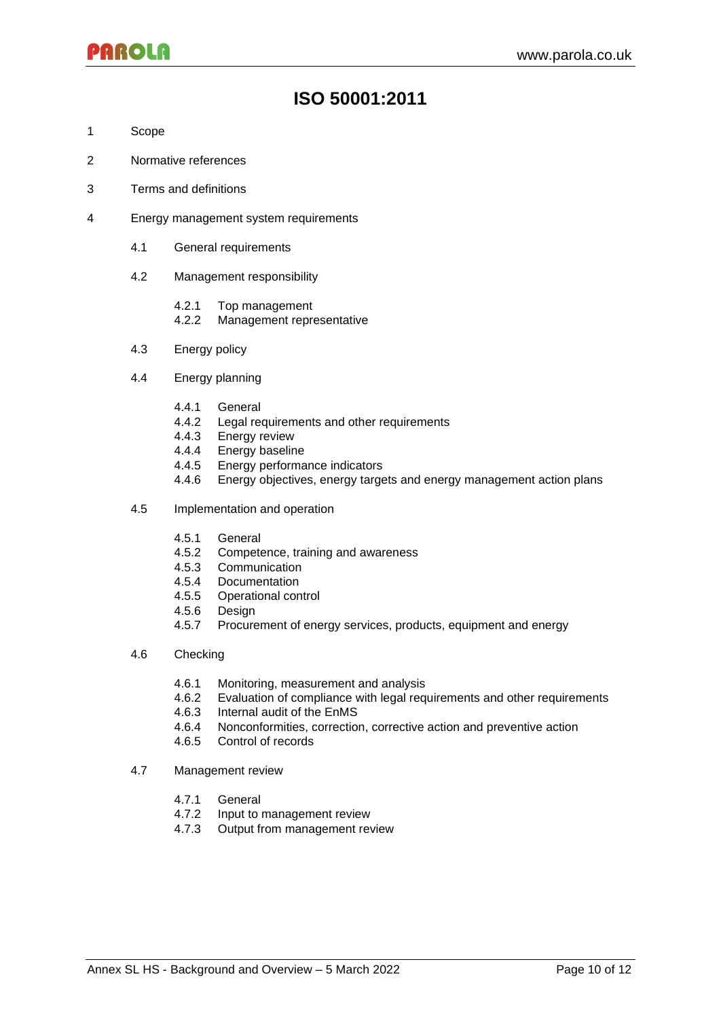# **ISO 50001:2011**

- 1 Scope
- 2 Normative references
- 3 Terms and definitions
- 4 Energy management system requirements
	- 4.1 General requirements
	- 4.2 Management responsibility
		- 4.2.1 Top management
		- 4.2.2 Management representative
	- 4.3 Energy policy
	- 4.4 Energy planning
		- 4.4.1 General
		- 4.4.2 Legal requirements and other requirements
		- 4.4.3 Energy review
		- 4.4.4 Energy baseline
		- 4.4.5 Energy performance indicators
		- 4.4.6 Energy objectives, energy targets and energy management action plans
	- 4.5 Implementation and operation
		- 4.5.1 General
		- 4.5.2 Competence, training and awareness
		- 4.5.3 Communication
		- 4.5.4 Documentation
		- 4.5.5 Operational control
		- 4.5.6 Design
		- 4.5.7 Procurement of energy services, products, equipment and energy
	- 4.6 Checking
		- 4.6.1 Monitoring, measurement and analysis
		- 4.6.2 Evaluation of compliance with legal requirements and other requirements
		- 4.6.3 Internal audit of the EnMS
		- 4.6.4 Nonconformities, correction, corrective action and preventive action
		- 4.6.5 Control of records
	- 4.7 Management review
		- 4.7.1 General
		- 4.7.2 Input to management review
		- 4.7.3 Output from management review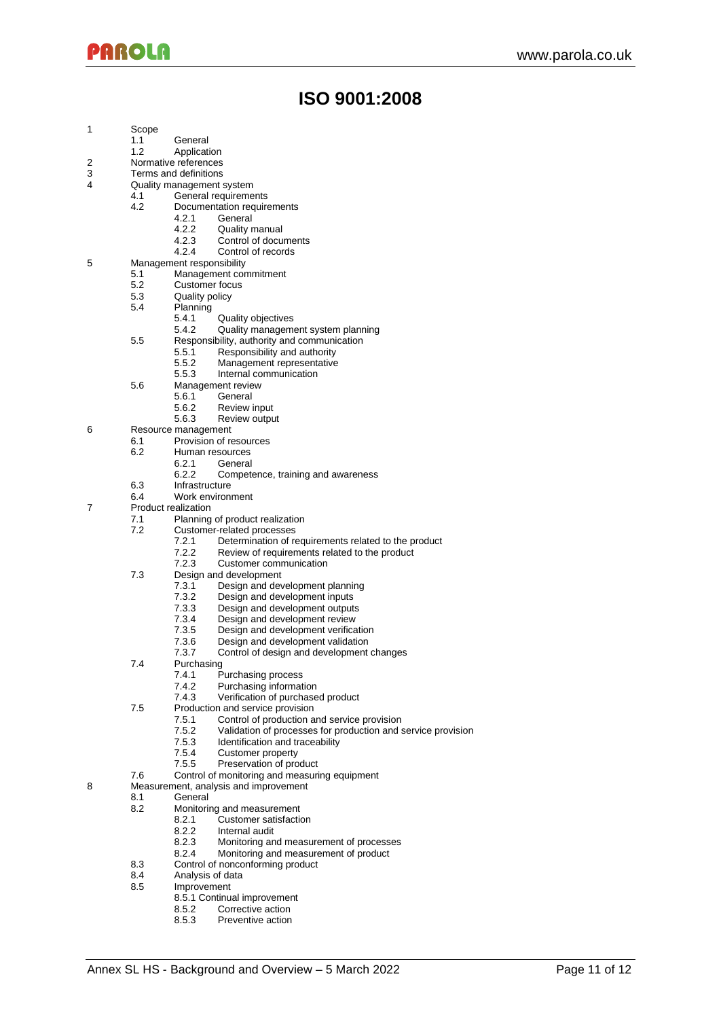### **ISO 9001:2008**

- 1 Scope<br>1.1
	- **General**
	- 1.2 Application
- 2 Normative references<br>3 Terms and definitions
- Terms and definitions
- 4 Quality management system
	- 4.1 General requirements<br>4.2 Documentation require
		- Documentation requirements<br>4.2.1 General
			- 4.2.1 General<br>4.2.2 Quality
			- 4.2.2 Quality manual<br>4.2.3 Control of docu
			- 4.2.3 Control of documents<br>4.2.4 Control of records Control of records
- 5 Management responsibility
	-
	- 5.1 Management commitment<br>5.2 Customer focus
	- 5.2 Customer focus<br>5.3 Quality policy Quality policy
	- 5.4 Planning
		-
		- 5.4.1 Quality objectives<br>5.4.2 Quality management Quality management system planning
	- 5.5 Responsibility, authority and communication<br>5.5.1 Responsibility and authority
		- - 5.5.1 Responsibility and authority<br>5.5.2 Management representative
			- 5.5.2 Management representative<br>5.5.3 Internal communication 5.5.3 Internal communication
	- 5.6 Management review
		- - 5.6.1 General
			- 5.6.2 Review input Review output
- 6 Resource management
	- - 6.1 Provision of resources<br>6.2 Human resources
			- Human resources<br>6.2.1 General **General** 
				-
				- 6.2.2 Competence, training and awareness
		- 6.3 Infrastructure<br>6.4 Work environ
	- Work environment
- 7 Product realization
	- 7.1 Planning of product realization<br>7.2 Customer-related processes
		- Customer-related processes<br>7.2.1 Determination of re
			- Determination of requirements related to the product
			- 7.2.2 Review of requirements related to the product<br>7.2.3 Customer communication
			- Customer communication
	- 7.3 Design and development
		- 7.3.1 Design and development planning
		-
		- 7.3.2 Design and development inputs<br>7.3.3 Design and development output
		- 7.3.3 Design and development outputs<br>7.3.4 Design and development review
		- 7.3.4 Design and development review<br>7.3.5 Design and development verifica
		- 7.3.5 Design and development verification<br>7.3.6 Design and development validation Design and development validation
		- 7.3.7 Control of design and development changes
	- 7.4 Purchasing
		-
		- 7.4.1 Purchasing process<br>7.4.2 Purchasing informat 7.4.2 Purchasing information<br>7.4.3 Verification of purchase
		- Verification of purchased product
	- 7.5 Production and service provision<br>7.5.1 Control of production a
		-
		- 7.5.1 Control of production and service provision<br>7.5.2 Validation of processes for production and : 7.5.2 Validation of processes for production and service provision
		- Identification and traceability
		-
		- 7.5.4 Customer property<br>7.5.5 Preservation of pro Preservation of product
	- 7.6 Control of monitoring and measuring equipment
- 8 Measurement, analysis and improvement
	- 8.1 General
		- 8.2 Monitoring and measurement<br>8.2.1 Customer satisfaction
			- 8.2.1 Customer satisfaction<br>8.2.2 Internal audit
				-
			- 8.2.2 Internal audit<br>8.2.3 Monitoring ar 8.2.3 Monitoring and measurement of processes<br>8.2.4 Monitoring and measurement of product
			- Monitoring and measurement of product
		- 8.3 Control of nonconforming product
		-
		- 8.4 Analysis of data<br>8.5 Improvement **Improvement** 
			- - 8.5.1 Continual improvement<br>8.5.2 Corrective action
				- 8.5.2 Corrective action<br>8.5.3 Preventive action Preventive action